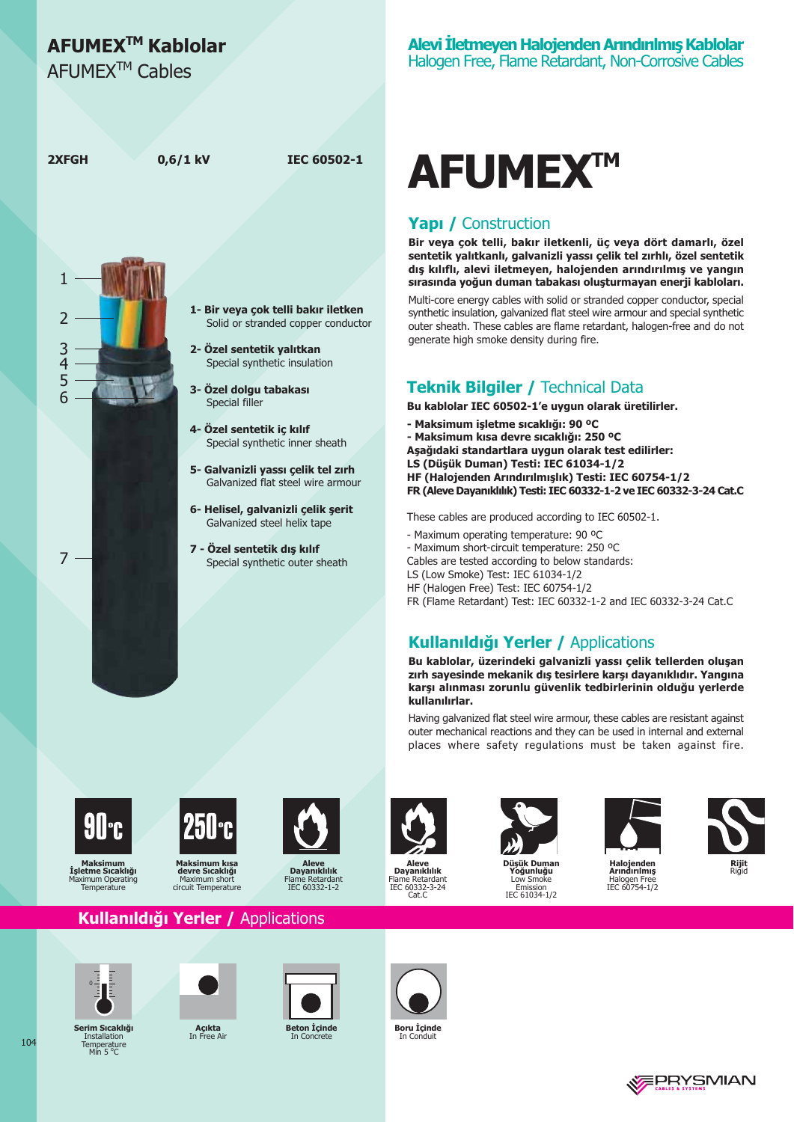## AFUMEX<sup>™</sup> Kablolar

AFUMFX<sup>™</sup> Cables



# AFUMEX™

#### **Yapı / Construction**

Bir veya çok telli, bakır iletkenli, üç veya dört damarlı, özel sentetik yalıtkanlı, galvanizli yassı çelik tel zırhlı, özel sentetik dış kılıflı, alevi iletmeyen, halojenden arındırılmış ve yangın sırasında yoğun duman tabakası oluşturmayan enerji kabloları.

Multi-core energy cables with solid or stranded copper conductor, special synthetic insulation, galvanized flat steel wire armour and special synthetic outer sheath. These cables are flame retardant, halogen-free and do not generate high smoke density during fire.

#### **Teknik Bilgiler / Technical Data**

Bu kablolar IEC 60502-1'e uygun olarak üretilirler.

- Maksimum isletme sıcaklığı: 90 °C
- Maksimum kısa devre sıcaklığı: 250 °C

Aşağıdaki standartlara uygun olarak test edilirler:

LS (Düsük Duman) Testi: IEC 61034-1/2

HF (Halojenden Arındırılmışlık) Testi: IEC 60754-1/2 FR (Aleve Dayanıklılık) Testi: IEC 60332-1-2 ve IEC 60332-3-24 Cat.C

These cables are produced according to IEC 60502-1.

- Maximum operating temperature: 90 °C
- Maximum short-circuit temperature: 250 °C

Cables are tested according to below standards:

- LS (Low Smoke) Test: IEC 61034-1/2
- HF (Halogen Free) Test: IEC 60754-1/2
- FR (Flame Retardant) Test: IEC 60332-1-2 and IEC 60332-3-24 Cat.C

### **Kullanıldığı Yerler / Applications**

Bu kablolar, üzerindeki galvanizli yassı çelik tellerden oluşan zırh sayesinde mekanik dış tesirlere karşı dayanıklıdır. Yangına karşı alınması zorunlu güvenlik tedbirlerinin olduğu yerlerde kullanılırlar.

Having galvanized flat steel wire armour, these cables are resistant against outer mechanical reactions and they can be used in internal and external places where safety regulations must be taken against fire.

Maksimur

İşletme Sıcaklığı

Temperature

aximum Operating



Makeimum kie devre Sıcaklığı Maximum shor circuit Temperature



Dayanıklılık Flame Retardant<br>IEC 60332-1-2



Aleve<br>Dayanıklılık Retardan Flame Retardant<br>IEC 60332-3-24 Cat.C



icük Duman oğunluğu Low Smol Emission<br>IEC 61034-1/2





.<br>Halojenden<br>Arındırılmış Halogen Free<br>IEC 60754-1/2

#### Kullanıldığı Yerler / Applications



Serim Sıcaklığ

Installation

Temperature<br>Min 5 °C



**Açıkta**<br>In Free Ai



**Beton Içinde** 



Boru *I*çinde